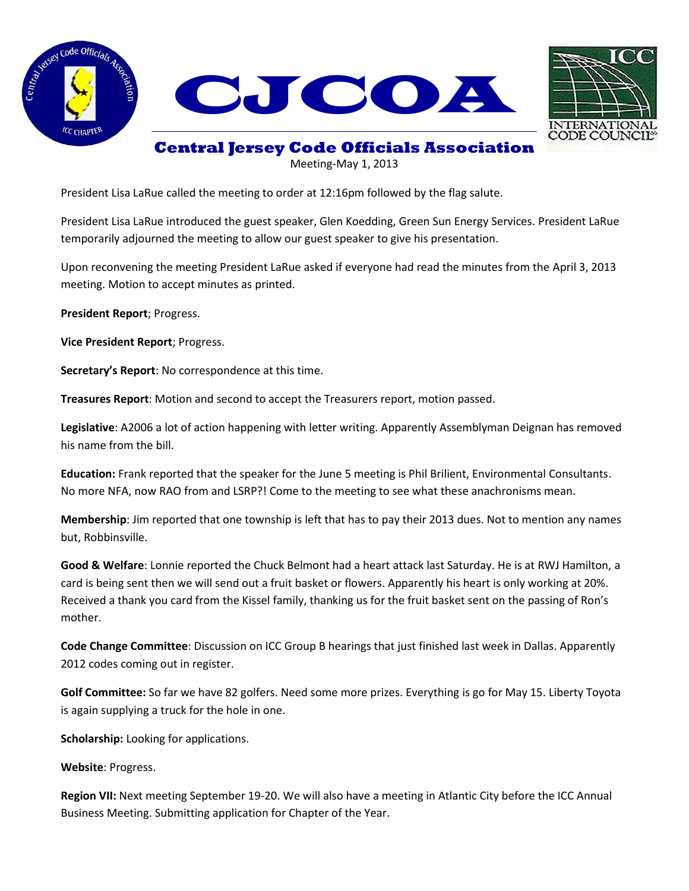





## **Central Jersey Code Officials Association**

Meeting-May 1, 2013

President Lisa LaRue called the meeting to order at 12:16pm followed by the flag salute.

President Lisa LaRue introduced the guest speaker, Glen Koedding, Green Sun Energy Services. President LaRue temporarily adjourned the meeting to allow our guest speaker to give his presentation.

Upon reconvening the meeting President LaRue asked if everyone had read the minutes from the April 3, 2013 meeting. Motion to accept minutes as printed.

**President Report**; Progress.

**Vice President Report**; Progress.

**Secretary's Report**: No correspondence at this time.

**Treasures Report**: Motion and second to accept the Treasurers report, motion passed.

**Legislative**: A2006 a lot of action happening with letter writing. Apparently Assemblyman Deignan has removed his name from the bill.

**Education:** Frank reported that the speaker for the June 5 meeting is Phil Brilient, Environmental Consultants. No more NFA, now RAO from and LSRP?! Come to the meeting to see what these anachronisms mean.

**Membership**: Jim reported that one township is left that has to pay their 2013 dues. Not to mention any names but, Robbinsville.

**Good & Welfare**: Lonnie reported the Chuck Belmont had a heart attack last Saturday. He is at RWJ Hamilton, a card is being sent then we will send out a fruit basket or flowers. Apparently his heart is only working at 20%. Received a thank you card from the Kissel family, thanking us for the fruit basket sent on the passing of Ron's mother.

**Code Change Committee**: Discussion on ICC Group B hearings that just finished last week in Dallas. Apparently 2012 codes coming out in register.

**Golf Committee:** So far we have 82 golfers. Need some more prizes. Everything is go for May 15. Liberty Toyota is again supplying a truck for the hole in one.

**Scholarship:** Looking for applications.

**Website**: Progress.

**Region VII:** Next meeting September 19-20. We will also have a meeting in Atlantic City before the ICC Annual Business Meeting. Submitting application for Chapter of the Year.